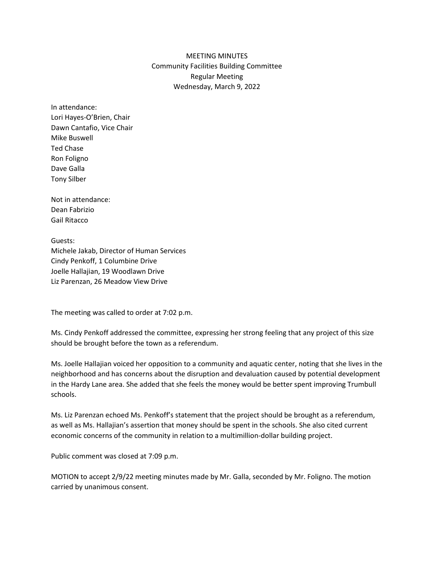## MEETING MINUTES Community Facilities Building Committee Regular Meeting Wednesday, March 9, 2022

In attendance: Lori Hayes-O'Brien, Chair Dawn Cantafio, Vice Chair Mike Buswell Ted Chase Ron Foligno Dave Galla Tony Silber

Not in attendance: Dean Fabrizio Gail Ritacco

Guests: Michele Jakab, Director of Human Services Cindy Penkoff, 1 Columbine Drive Joelle Hallajian, 19 Woodlawn Drive Liz Parenzan, 26 Meadow View Drive

The meeting was called to order at 7:02 p.m.

Ms. Cindy Penkoff addressed the committee, expressing her strong feeling that any project of this size should be brought before the town as a referendum.

Ms. Joelle Hallajian voiced her opposition to a community and aquatic center, noting that she lives in the neighborhood and has concerns about the disruption and devaluation caused by potential development in the Hardy Lane area. She added that she feels the money would be better spent improving Trumbull schools.

Ms. Liz Parenzan echoed Ms. Penkoff's statement that the project should be brought as a referendum, as well as Ms. Hallajian's assertion that money should be spent in the schools. She also cited current economic concerns of the community in relation to a multimillion-dollar building project.

Public comment was closed at 7:09 p.m.

MOTION to accept 2/9/22 meeting minutes made by Mr. Galla, seconded by Mr. Foligno. The motion carried by unanimous consent.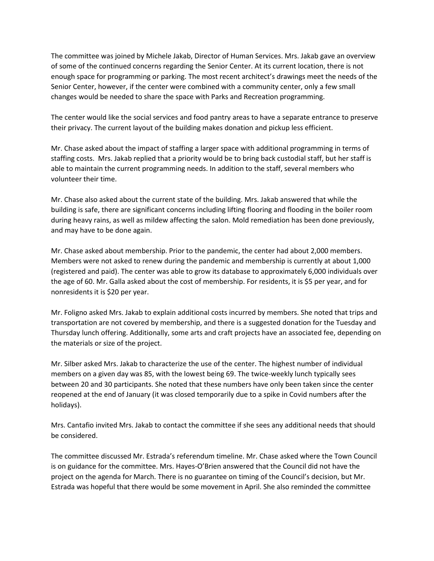The committee was joined by Michele Jakab, Director of Human Services. Mrs. Jakab gave an overview of some of the continued concerns regarding the Senior Center. At its current location, there is not enough space for programming or parking. The most recent architect's drawings meet the needs of the Senior Center, however, if the center were combined with a community center, only a few small changes would be needed to share the space with Parks and Recreation programming.

The center would like the social services and food pantry areas to have a separate entrance to preserve their privacy. The current layout of the building makes donation and pickup less efficient.

Mr. Chase asked about the impact of staffing a larger space with additional programming in terms of staffing costs. Mrs. Jakab replied that a priority would be to bring back custodial staff, but her staff is able to maintain the current programming needs. In addition to the staff, several members who volunteer their time.

Mr. Chase also asked about the current state of the building. Mrs. Jakab answered that while the building is safe, there are significant concerns including lifting flooring and flooding in the boiler room during heavy rains, as well as mildew affecting the salon. Mold remediation has been done previously, and may have to be done again.

Mr. Chase asked about membership. Prior to the pandemic, the center had about 2,000 members. Members were not asked to renew during the pandemic and membership is currently at about 1,000 (registered and paid). The center was able to grow its database to approximately 6,000 individuals over the age of 60. Mr. Galla asked about the cost of membership. For residents, it is \$5 per year, and for nonresidents it is \$20 per year.

Mr. Foligno asked Mrs. Jakab to explain additional costs incurred by members. She noted that trips and transportation are not covered by membership, and there is a suggested donation for the Tuesday and Thursday lunch offering. Additionally, some arts and craft projects have an associated fee, depending on the materials or size of the project.

Mr. Silber asked Mrs. Jakab to characterize the use of the center. The highest number of individual members on a given day was 85, with the lowest being 69. The twice-weekly lunch typically sees between 20 and 30 participants. She noted that these numbers have only been taken since the center reopened at the end of January (it was closed temporarily due to a spike in Covid numbers after the holidays).

Mrs. Cantafio invited Mrs. Jakab to contact the committee if she sees any additional needs that should be considered.

The committee discussed Mr. Estrada's referendum timeline. Mr. Chase asked where the Town Council is on guidance for the committee. Mrs. Hayes-O'Brien answered that the Council did not have the project on the agenda for March. There is no guarantee on timing of the Council's decision, but Mr. Estrada was hopeful that there would be some movement in April. She also reminded the committee